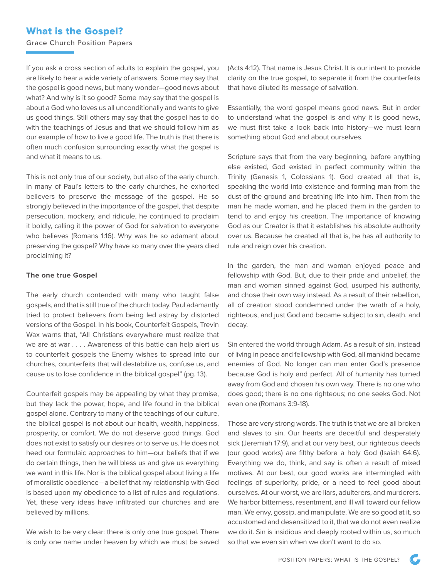## What is the Gospel?

Grace Church Position Papers

If you ask a cross section of adults to explain the gospel, you are likely to hear a wide variety of answers. Some may say that the gospel is good news, but many wonder—good news about what? And why is it so good? Some may say that the gospel is about a God who loves us all unconditionally and wants to give us good things. Still others may say that the gospel has to do with the teachings of Jesus and that we should follow him as our example of how to live a good life. The truth is that there is often much confusion surrounding exactly what the gospel is and what it means to us.

This is not only true of our society, but also of the early church. In many of Paul's letters to the early churches, he exhorted believers to preserve the message of the gospel. He so strongly believed in the importance of the gospel, that despite persecution, mockery, and ridicule, he continued to proclaim it boldly, calling it the power of God for salvation to everyone who believes (Romans 1:16). Why was he so adamant about preserving the gospel? Why have so many over the years died proclaiming it?

## **The one true Gospel**

The early church contended with many who taught false gospels, and that is still true of the church today. Paul adamantly tried to protect believers from being led astray by distorted versions of the Gospel. In his book, Counterfeit Gospels, Trevin Wax warns that, "All Christians everywhere must realize that we are at war . . . . Awareness of this battle can help alert us to counterfeit gospels the Enemy wishes to spread into our churches, counterfeits that will destabilize us, confuse us, and cause us to lose confidence in the biblical gospel" (pg. 13).

Counterfeit gospels may be appealing by what they promise, but they lack the power, hope, and life found in the biblical gospel alone. Contrary to many of the teachings of our culture, the biblical gospel is not about our health, wealth, happiness, prosperity, or comfort. We do not deserve good things. God does not exist to satisfy our desires or to serve us. He does not heed our formulaic approaches to him—our beliefs that if we do certain things, then he will bless us and give us everything we want in this life. Nor is the biblical gospel about living a life of moralistic obedience—a belief that my relationship with God is based upon my obedience to a list of rules and regulations. Yet, these very ideas have infiltrated our churches and are believed by millions.

We wish to be very clear: there is only one true gospel. There is only one name under heaven by which we must be saved (Acts 4:12). That name is Jesus Christ. It is our intent to provide clarity on the true gospel, to separate it from the counterfeits that have diluted its message of salvation.

Essentially, the word gospel means good news. But in order to understand what the gospel is and why it is good news, we must first take a look back into history—we must learn something about God and about ourselves.

Scripture says that from the very beginning, before anything else existed, God existed in perfect community within the Trinity (Genesis 1, Colossians 1). God created all that is, speaking the world into existence and forming man from the dust of the ground and breathing life into him. Then from the man he made woman, and he placed them in the garden to tend to and enjoy his creation. The importance of knowing God as our Creator is that it establishes his absolute authority over us. Because he created all that is, he has all authority to rule and reign over his creation.

In the garden, the man and woman enjoyed peace and fellowship with God. But, due to their pride and unbelief, the man and woman sinned against God, usurped his authority, and chose their own way instead. As a result of their rebellion, all of creation stood condemned under the wrath of a holy, righteous, and just God and became subject to sin, death, and decay.

Sin entered the world through Adam. As a result of sin, instead of living in peace and fellowship with God, all mankind became enemies of God. No longer can man enter God's presence because God is holy and perfect. All of humanity has turned away from God and chosen his own way. There is no one who does good; there is no one righteous; no one seeks God. Not even one (Romans 3:9-18).

Those are very strong words. The truth is that we are all broken and slaves to sin. Our hearts are deceitful and desperately sick (Jeremiah 17:9), and at our very best, our righteous deeds (our good works) are filthy before a holy God (Isaiah 64:6). Everything we do, think, and say is often a result of mixed motives. At our best, our good works are intermingled with feelings of superiority, pride, or a need to feel good about ourselves. At our worst, we are liars, adulterers, and murderers. We harbor bitterness, resentment, and ill will toward our fellow man. We envy, gossip, and manipulate. We are so good at it, so accustomed and desensitized to it, that we do not even realize we do it. Sin is insidious and deeply rooted within us, so much so that we even sin when we don't want to do so.

 $\mathbf C$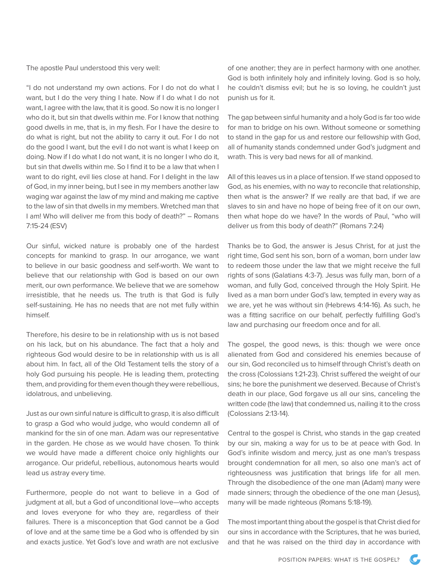The apostle Paul understood this very well:

"I do not understand my own actions. For I do not do what I want, but I do the very thing I hate. Now if I do what I do not want, I agree with the law, that it is good. So now it is no longer I who do it, but sin that dwells within me. For I know that nothing good dwells in me, that is, in my flesh. For I have the desire to do what is right, but not the ability to carry it out. For I do not do the good I want, but the evil I do not want is what I keep on doing. Now if I do what I do not want, it is no longer I who do it, but sin that dwells within me. So I find it to be a law that when I want to do right, evil lies close at hand. For I delight in the law of God, in my inner being, but I see in my members another law waging war against the law of my mind and making me captive to the law of sin that dwells in my members. Wretched man that I am! Who will deliver me from this body of death?" – Romans 7:15-24 (ESV)

Our sinful, wicked nature is probably one of the hardest concepts for mankind to grasp. In our arrogance, we want to believe in our basic goodness and self-worth. We want to believe that our relationship with God is based on our own merit, our own performance. We believe that we are somehow irresistible, that he needs us. The truth is that God is fully self-sustaining. He has no needs that are not met fully within himself.

Therefore, his desire to be in relationship with us is not based on his lack, but on his abundance. The fact that a holy and righteous God would desire to be in relationship with us is all about him. In fact, all of the Old Testament tells the story of a holy God pursuing his people. He is leading them, protecting them, and providing for them even though they were rebellious, idolatrous, and unbelieving.

Just as our own sinful nature is difficult to grasp, it is also difficult to grasp a God who would judge, who would condemn all of mankind for the sin of one man. Adam was our representative in the garden. He chose as we would have chosen. To think we would have made a different choice only highlights our arrogance. Our prideful, rebellious, autonomous hearts would lead us astray every time.

Furthermore, people do not want to believe in a God of judgment at all, but a God of unconditional love—who accepts and loves everyone for who they are, regardless of their failures. There is a misconception that God cannot be a God of love and at the same time be a God who is offended by sin and exacts justice. Yet God's love and wrath are not exclusive

of one another; they are in perfect harmony with one another. God is both infinitely holy and infinitely loving. God is so holy, he couldn't dismiss evil; but he is so loving, he couldn't just punish us for it.

The gap between sinful humanity and a holy God is far too wide for man to bridge on his own. Without someone or something to stand in the gap for us and restore our fellowship with God, all of humanity stands condemned under God's judgment and wrath. This is very bad news for all of mankind.

All of this leaves us in a place of tension. If we stand opposed to God, as his enemies, with no way to reconcile that relationship, then what is the answer? If we really are that bad, if we are slaves to sin and have no hope of being free of it on our own, then what hope do we have? In the words of Paul, "who will deliver us from this body of death?" (Romans 7:24)

Thanks be to God, the answer is Jesus Christ, for at just the right time, God sent his son, born of a woman, born under law to redeem those under the law that we might receive the full rights of sons (Galatians 4:3-7). Jesus was fully man, born of a woman, and fully God, conceived through the Holy Spirit. He lived as a man born under God's law, tempted in every way as we are, yet he was without sin (Hebrews 4:14-16). As such, he was a fitting sacrifice on our behalf, perfectly fulfilling God's law and purchasing our freedom once and for all.

The gospel, the good news, is this: though we were once alienated from God and considered his enemies because of our sin, God reconciled us to himself through Christ's death on the cross (Colossians 1:21-23). Christ suffered the weight of our sins; he bore the punishment we deserved. Because of Christ's death in our place, God forgave us all our sins, canceling the written code (the law) that condemned us, nailing it to the cross (Colossians 2:13-14).

Central to the gospel is Christ, who stands in the gap created by our sin, making a way for us to be at peace with God. In God's infinite wisdom and mercy, just as one man's trespass brought condemnation for all men, so also one man's act of righteousness was justification that brings life for all men. Through the disobedience of the one man (Adam) many were made sinners; through the obedience of the one man (Jesus), many will be made righteous (Romans 5:18-19).

The most important thing about the gospel is that Christ died for our sins in accordance with the Scriptures, that he was buried, and that he was raised on the third day in accordance with

 $\mathcal{C}$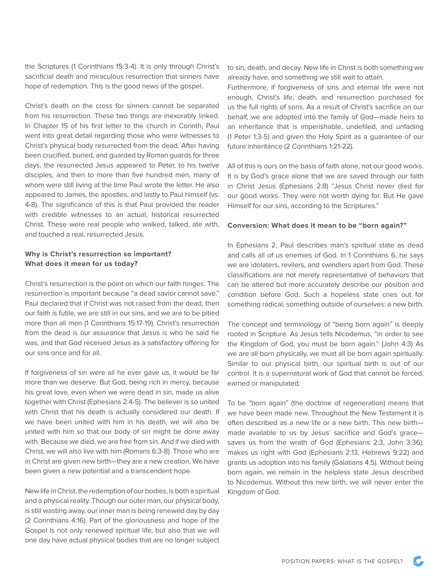the Scriptures (1 Corinthians 15:3-4). It is only through Christ's sacrificial death and miraculous resurrection that sinners have hope of redemption. This is the good news of the gospel.

Christ's death on the cross for sinners cannot be separated from his resurrection. These two things are inexorably linked. In Chapter 15 of his first letter to the church in Corinth, Paul went into great detail regarding those who were witnesses to Christ's physical body resurrected from the dead. After having been crucified, buried, and guarded by Roman guards for three days, the resurrected Jesus appeared to Peter, to his twelve disciples, and then to more than five hundred men, many of whom were still living at the time Paul wrote the letter. He also appeared to James, the apostles, and lastly to Paul himself (vs. 4-8). The significance of this is that Paul provided the reader with credible witnesses to an actual, historical resurrected Christ. These were real people who walked, talked, ate with, and touched a real, resurrected Jesus.

## **Why is Christ's resurrection so important? What does it mean for us today?**

Christ's resurrection is the point on which our faith hinges. The resurrection is important because "a dead savior cannot save." Paul declared that if Christ was not raised from the dead, then our faith is futile, we are still in our sins, and we are to be pitied more than all men (1 Corinthians 15:17-19). Christ's resurrection from the dead is our assurance that Jesus is who he said he was, and that God received Jesus as a satisfactory offering for our sins once and for all.

If forgiveness of sin were all he ever gave us, it would be far more than we deserve. But God, being rich in mercy, because his great love, even when we were dead in sin, made us alive together with Christ (Ephesians 2:4-5). The believer is so united with Christ that his death is actually considered our death. If we have been united with him in his death, we will also be united with him so that our body of sin might be done away with. Because we died, we are free from sin. And if we died with Christ, we will also live with him (Romans 6:3-8). Those who are in Christ are given new birth—they are a new creation. We have been given a new potential and a transcendent hope.

New life in Christ, the redemption of our bodies, is both a spiritual and a physical reality. Though our outer man, our physical body, is still wasting away, our inner man is being renewed day by day (2 Corinthians 4:16). Part of the gloriousness and hope of the Gospel is not only renewed spiritual life, but also that we will one day have actual physical bodies that are no longer subject

to sin, death, and decay. New life in Christ is both something we already have, and something we still wait to attain.

Furthermore, if forgiveness of sins and eternal life were not enough, Christ's life, death, and resurrection purchased for us the full rights of sons. As a result of Christ's sacrifice on our behalf, we are adopted into the family of God—made heirs to an inheritance that is imperishable, undefiled, and unfading (1 Peter 1:3-5) and given the Holy Spirit as a guarantee of our future inheritance (2 Corinthians 1:21-22).

All of this is ours on the basis of faith alone, not our good works. It is by God's grace alone that we are saved through our faith in Christ Jesus (Ephesians 2:8) "Jesus Christ never died for our good works. They were not worth dying for. But He gave Himself for our sins, according to the Scriptures."

## **Conversion: What does it mean to be "born again?"**

In Ephesians 2, Paul describes man's spiritual state as dead and calls all of us enemies of God. In 1 Corinthians 6, he says we are idolaters, revilers, and swindlers apart from God. These classifications are not merely representative of behaviors that can be altered but more accurately describe our position and condition before God. Such a hopeless state cries out for something radical, something outside of ourselves: a new birth.

The concept and terminology of "being born again" is deeply rooted in Scripture. As Jesus tells Nicodemus, "in order to see the Kingdom of God, you must be born again." (John 4:3) As we are all born physically, we must all be born again spiritually. Similar to our physical birth, our spiritual birth is out of our control. It is a supernatural work of God that cannot be forced, earned or manipulated.

To be "born again" (the doctrine of regeneration) means that we have been made new. Throughout the New Testament it is often described as a new life or a new birth. This new birth made available to us by Jesus' sacrifice and God's grace saves us from the wrath of God (Ephesians 2:3, John 3:36), makes us right with God (Ephesians 2:13, Hebrews 9:22) and grants us adoption into his family (Galatians 4:5). Without being born again, we remain in the helpless state Jesus described to Nicodemus. Without this new birth, we will never enter the Kingdom of God.

 $\mathbb{C}^-$